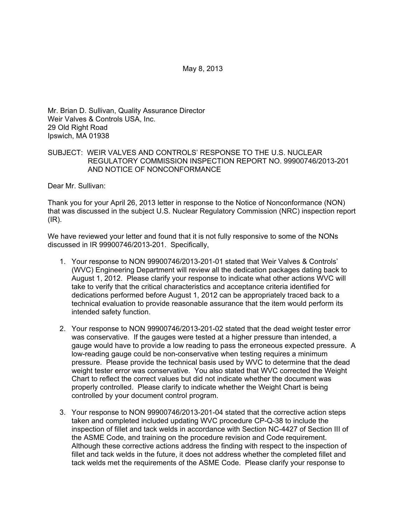May 8, 2013

Mr. Brian D. Sullivan, Quality Assurance Director Weir Valves & Controls USA, Inc. 29 Old Right Road Ipswich, MA 01938

## SUBJECT: WEIR VALVES AND CONTROLS' RESPONSE TO THE U.S. NUCLEAR REGULATORY COMMISSION INSPECTION REPORT NO. 99900746/2013-201 AND NOTICE OF NONCONFORMANCE

Dear Mr. Sullivan:

Thank you for your April 26, 2013 letter in response to the Notice of Nonconformance (NON) that was discussed in the subject U.S. Nuclear Regulatory Commission (NRC) inspection report (IR).

We have reviewed your letter and found that it is not fully responsive to some of the NONs discussed in IR 99900746/2013-201. Specifically,

- 1. Your response to NON 99900746/2013-201-01 stated that Weir Valves & Controls' (WVC) Engineering Department will review all the dedication packages dating back to August 1, 2012. Please clarify your response to indicate what other actions WVC will take to verify that the critical characteristics and acceptance criteria identified for dedications performed before August 1, 2012 can be appropriately traced back to a technical evaluation to provide reasonable assurance that the item would perform its intended safety function.
- 2. Your response to NON 99900746/2013-201-02 stated that the dead weight tester error was conservative. If the gauges were tested at a higher pressure than intended, a gauge would have to provide a low reading to pass the erroneous expected pressure. A low-reading gauge could be non-conservative when testing requires a minimum pressure. Please provide the technical basis used by WVC to determine that the dead weight tester error was conservative. You also stated that WVC corrected the Weight Chart to reflect the correct values but did not indicate whether the document was properly controlled. Please clarify to indicate whether the Weight Chart is being controlled by your document control program.
- 3. Your response to NON 99900746/2013-201-04 stated that the corrective action steps taken and completed included updating WVC procedure CP-Q-38 to include the inspection of fillet and tack welds in accordance with Section NC-4427 of Section III of the ASME Code, and training on the procedure revision and Code requirement. Although these corrective actions address the finding with respect to the inspection of fillet and tack welds in the future, it does not address whether the completed fillet and tack welds met the requirements of the ASME Code. Please clarify your response to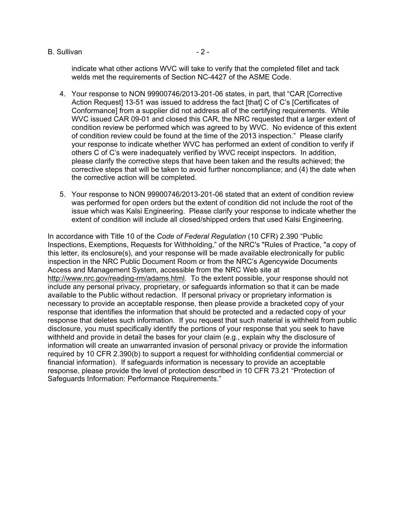#### B. Sullivan - 2 -

indicate what other actions WVC will take to verify that the completed fillet and tack welds met the requirements of Section NC-4427 of the ASME Code.

- 4. Your response to NON 99900746/2013-201-06 states, in part, that "CAR [Corrective Action Request] 13-51 was issued to address the fact [that] C of C's [Certificates of Conformance] from a supplier did not address all of the certifying requirements. While WVC issued CAR 09-01 and closed this CAR, the NRC requested that a larger extent of condition review be performed which was agreed to by WVC. No evidence of this extent of condition review could be found at the time of the 2013 inspection." Please clarify your response to indicate whether WVC has performed an extent of condition to verify if others C of C's were inadequately verified by WVC receipt inspectors. In addition, please clarify the corrective steps that have been taken and the results achieved; the corrective steps that will be taken to avoid further noncompliance; and (4) the date when the corrective action will be completed.
- 5. Your response to NON 99900746/2013-201-06 stated that an extent of condition review was performed for open orders but the extent of condition did not include the root of the issue which was Kalsi Engineering. Please clarify your response to indicate whether the extent of condition will include all closed/shipped orders that used Kalsi Engineering.

In accordance with Title 10 of the *Code of Federal Regulation* (10 CFR) 2.390 "Public Inspections, Exemptions, Requests for Withholding," of the NRC's "Rules of Practice, "a copy of this letter, its enclosure(s), and your response will be made available electronically for public inspection in the NRC Public Document Room or from the NRC's Agencywide Documents Access and Management System, accessible from the NRC Web site at http://www.nrc.gov/reading-rm/adams.html. To the extent possible, your response should not include any personal privacy, proprietary, or safeguards information so that it can be made available to the Public without redaction. If personal privacy or proprietary information is necessary to provide an acceptable response, then please provide a bracketed copy of your response that identifies the information that should be protected and a redacted copy of your response that deletes such information. If you request that such material is withheld from public disclosure, you must specifically identify the portions of your response that you seek to have withheld and provide in detail the bases for your claim (e.g., explain why the disclosure of information will create an unwarranted invasion of personal privacy or provide the information required by 10 CFR 2.390(b) to support a request for withholding confidential commercial or financial information). If safeguards information is necessary to provide an acceptable response, please provide the level of protection described in 10 CFR 73.21 "Protection of Safeguards Information: Performance Requirements."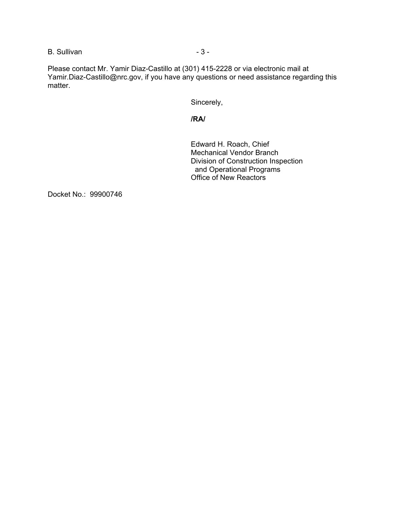B. Sullivan - 3 - 3 -

Please contact Mr. Yamir Diaz-Castillo at (301) 415-2228 or via electronic mail at Yamir.Diaz-Castillo@nrc.gov, if you have any questions or need assistance regarding this matter.

Sincerely,

## **/RA/**

Edward H. Roach, Chief Mechanical Vendor Branch Division of Construction Inspection and Operational Programs Office of New Reactors

Docket No.: 99900746